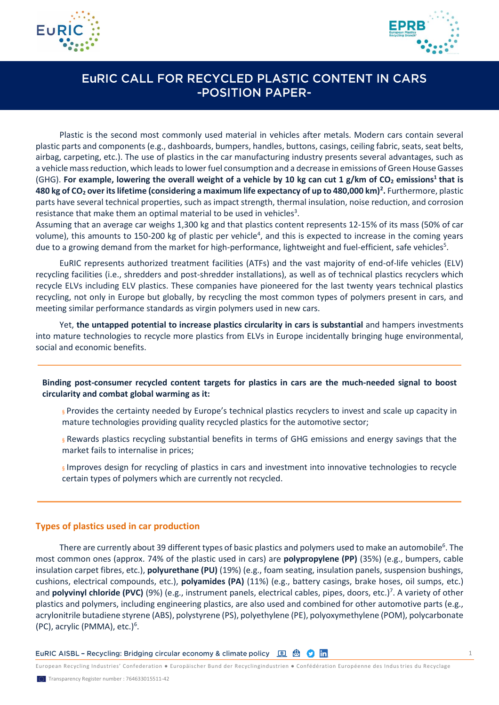



# EURIC CALL FOR RECYCLED PLASTIC CONTENT IN CARS **-POSITION PAPER-**

Plastic is the second most commonly used material in vehicles after metals. Modern cars contain several plastic parts and components (e.g., dashboards, bumpers, handles, buttons, casings, ceiling fabric, seats, seat belts, airbag, carpeting, etc.). The use of plastics in the car manufacturing industry presents several advantages, such as a vehicle mass reduction, which leads to lower fuel consumption and a decrease in emissions of Green House Gasses (GHG). **For example, lowering the overall weight of a vehicle by 10 kg can cut 1 g/km of CO<sup>2</sup> emissions<sup>1</sup> that is 480 kg of CO<sup>2</sup> over its lifetime (considering a maximum life expectancy of up to 480,000 km)<sup>2</sup> .** Furthermore, plastic parts have several technical properties, such as impact strength, thermal insulation, noise reduction, and corrosion resistance that make them an optimal material to be used in vehicles<sup>3</sup>.

Assuming that an average car weighs 1,300 kg and that plastics content represents 12-15% of its mass (50% of car volume), this amounts to 150-200 kg of plastic per vehicle<sup>4</sup>, and this is expected to increase in the coming years due to a growing demand from the market for high-performance, lightweight and fuel-efficient, safe vehicles<sup>5</sup>.

EuRIC represents authorized treatment facilities (ATFs) and the vast majority of end-of-life vehicles (ELV) recycling facilities (i.e., shredders and post-shredder installations), as well as of technical plastics recyclers which recycle ELVs including ELV plastics. These companies have pioneered for the last twenty years technical plastics recycling, not only in Europe but globally, by recycling the most common types of polymers present in cars, and meeting similar performance standards as virgin polymers used in new cars.

Yet, **the untapped potential to increase plastics circularity in cars is substantial** and hampers investments into mature technologies to recycle more plastics from ELVs in Europe incidentally bringing huge environmental, social and economic benefits.

**Binding post-consumer recycled content targets for plastics in cars are the much-needed signal to boost circularity and combat global warming as it:** 

§ Provides the certainty needed by Europe's technical plastics recyclers to invest and scale up capacity in mature technologies providing quality recycled plastics for the automotive sector;

§ Rewards plastics recycling substantial benefits in terms of GHG emissions and energy savings that the market fails to internalise in prices;

§ Improves design for recycling of plastics in cars and investment into innovative technologies to recycle certain types of polymers which are currently not recycled.

### **Types of plastics used in car production**

There are currently about 39 different types of basic plastics and polymers used to make an automobile<sup>6</sup>. The most common ones (approx. 74% of the plastic used in cars) are **polypropylene (PP)** (35%) (e.g., bumpers, cable insulation carpet fibres, etc.), **polyurethane (PU)** (19%) (e.g., foam seating, insulation panels, suspension bushings, cushions, electrical compounds, etc.), **polyamides (PA)** (11%) (e.g., battery casings, brake hoses, oil sumps, etc.) and **polyvinyl chloride (PVC)** (9%) (e.g., instrument panels, electrical cables, pipes, doors, etc.)<sup>7</sup>. A variety of other plastics and polymers, including engineering plastics, are also used and combined for other automotive parts (e.g., acrylonitrile butadiene styrene (ABS), polystyrene (PS), polyethylene (PE), polyoxymethylene (POM), polycarbonate (PC), acrylic (PMMA), etc.)<sup>6</sup>.

<sup>1</sup>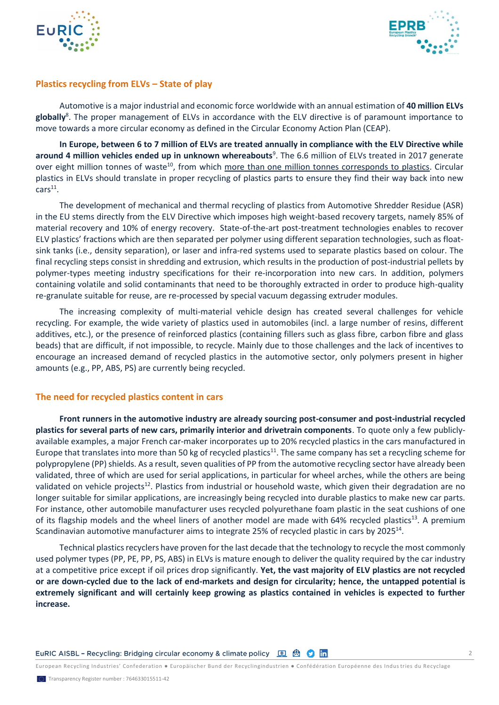



## **Plastics recycling from ELVs – State of play**

Automotive is a major industrial and economic force worldwide with an annual estimation of **40 million ELVs globally**<sup>8</sup> . The proper management of ELVs in accordance with the ELV directive is of paramount importance to move towards a more circular economy as defined in the Circular Economy Action Plan (CEAP).

**In Europe, between 6 to 7 million of ELVs are treated annually in compliance with the ELV Directive while around 4 million vehicles ended up in unknown whereabouts**<sup>9</sup> . The 6.6 million of ELVs treated in 2017 generate over eight million tonnes of waste<sup>10</sup>, from which more than one million tonnes corresponds to plastics. Circular plastics in ELVs should translate in proper recycling of plastics parts to ensure they find their way back into new  $cars<sup>11</sup>$ .

The development of mechanical and thermal recycling of plastics from Automotive Shredder Residue (ASR) in the EU stems directly from the ELV Directive which imposes high weight-based recovery targets, namely 85% of material recovery and 10% of energy recovery. State-of-the-art post-treatment technologies enables to recover ELV plastics' fractions which are then separated per polymer using different separation technologies, such as floatsink tanks (i.e., density separation), or laser and infra-red systems used to separate plastics based on colour. The final recycling steps consist in shredding and extrusion, which results in the production of post-industrial pellets by polymer-types meeting industry specifications for their re-incorporation into new cars. In addition, polymers containing volatile and solid contaminants that need to be thoroughly extracted in order to produce high-quality re-granulate suitable for reuse, are re-processed by special vacuum degassing extruder modules.

The increasing complexity of multi-material vehicle design has created several challenges for vehicle recycling. For example, the wide variety of plastics used in automobiles (incl. a large number of resins, different additives, etc.), or the presence of reinforced plastics (containing fillers such as glass fibre, carbon fibre and glass beads) that are difficult, if not impossible, to recycle. Mainly due to those challenges and the lack of incentives to encourage an increased demand of recycled plastics in the automotive sector, only polymers present in higher amounts (e.g., PP, ABS, PS) are currently being recycled.

### **The need for recycled plastics content in cars**

**Front runners in the automotive industry are already sourcing post-consumer and post-industrial recycled plastics for several parts of new cars, primarily interior and drivetrain components**. To quote only a few publiclyavailable examples, a major French car-maker incorporates up to 20% recycled plastics in the cars manufactured in Europe that translates into more than 50 kg of recycled plastics<sup>11</sup>. The same company has set a recycling scheme for polypropylene (PP) shields. As a result, seven qualities of PP from the automotive recycling sector have already been validated, three of which are used for serial applications, in particular for wheel arches, while the others are being validated on vehicle projects<sup>12</sup>. Plastics from industrial or household waste, which given their degradation are no longer suitable for similar applications, are increasingly being recycled into durable plastics to make new car parts. For instance, other automobile manufacturer uses recycled polyurethane foam plastic in the seat cushions of one of its flagship models and the wheel liners of another model are made with 64% recycled plastics<sup>13</sup>. A premium Scandinavian automotive manufacturer aims to integrate 25% of recycled plastic in cars by 2025<sup>14</sup>.

Technical plastics recyclers have proven for the last decade that the technology to recycle the most commonly used polymer types (PP, PE, PP, PS, ABS) in ELVs is mature enough to deliver the quality required by the car industry at a competitive price except if oil prices drop significantly. **Yet, the vast majority of ELV plastics are not recycled or are down-cycled due to the lack of end-markets and design for circularity; hence, the untapped potential is extremely significant and will certainly keep growing as plastics contained in vehicles is expected to further increase.**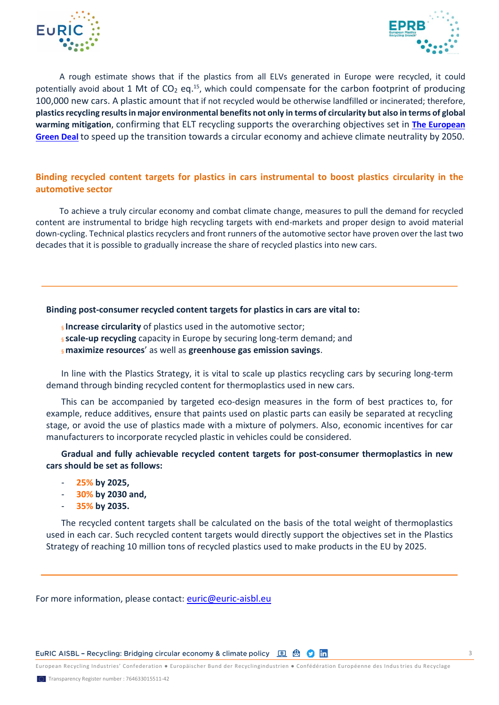



A rough estimate shows that if the plastics from all ELVs generated in Europe were recycled, it could potentially avoid about 1 Mt of  $CO<sub>2</sub>$  eq.<sup>15</sup>, which could compensate for the carbon footprint of producing 100,000 new cars. A plastic amount that if not recycled would be otherwise landfilled or incinerated; therefore, **plastics recycling resultsin major environmental benefits not only in terms of circularity but also in terms of global warming mitigation**, confirming that ELT recycling supports the overarching objectives set in **[The European](https://eur-lex.europa.eu/legal-content/EN/TXT/?qid=1588580774040&uri=CELEX:52019DC0640)  [Green Deal](https://eur-lex.europa.eu/legal-content/EN/TXT/?qid=1588580774040&uri=CELEX:52019DC0640)** to speed up the transition towards a circular economy and achieve climate neutrality by 2050.

# **Binding recycled content targets for plastics in cars instrumental to boost plastics circularity in the automotive sector**

To achieve a truly circular economy and combat climate change, measures to pull the demand for recycled content are instrumental to bridge high recycling targets with end-markets and proper design to avoid material down-cycling. Technical plastics recyclers and front runners of the automotive sector have proven over the last two decades that it is possible to gradually increase the share of recycled plastics into new cars.

#### **Binding post-consumer recycled content targets for plastics in cars are vital to:**

- § **Increase circularity** of plastics used in the automotive sector;
- § **scale-up recycling** capacity in Europe by securing long-term demand; and
- § **maximize resources**' as well as **greenhouse gas emission savings**.

In line with the Plastics Strategy, it is vital to scale up plastics recycling cars by securing long-term demand through binding recycled content for thermoplastics used in new cars.

This can be accompanied by targeted eco-design measures in the form of best practices to, for example, reduce additives, ensure that paints used on plastic parts can easily be separated at recycling stage, or avoid the use of plastics made with a mixture of polymers. Also, economic incentives for car manufacturers to incorporate recycled plastic in vehicles could be considered.

**Gradual and fully achievable recycled content targets for post-consumer thermoplastics in new cars should be set as follows:**

- **25% by 2025,**
- **30% by 2030 and,**
- **35% by 2035.**

The recycled content targets shall be calculated on the basis of the total weight of thermoplastics used in each car. Such recycled content targets would directly support the objectives set in the Plastics Strategy of reaching 10 million tons of recycled plastics used to make products in the EU by 2025.

For more information, please contact: [euric@euric-aisbl.eu](mailto:euric@euric-aisbl.eu)